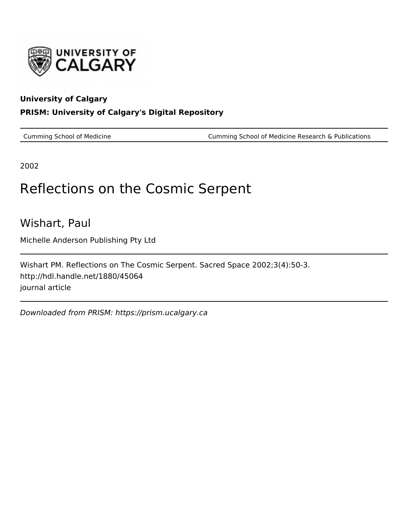

# **University of Calgary**

# **PRISM: University of Calgary's Digital Repository**

Cumming School of Medicine Cumming School of Medicine Research & Publications

2002

# Reflections on the Cosmic Serpent

Wishart, Paul

Michelle Anderson Publishing Pty Ltd

Wishart PM. Reflections on The Cosmic Serpent. Sacred Space 2002;3(4):50-3. http://hdl.handle.net/1880/45064 journal article

Downloaded from PRISM: https://prism.ucalgary.ca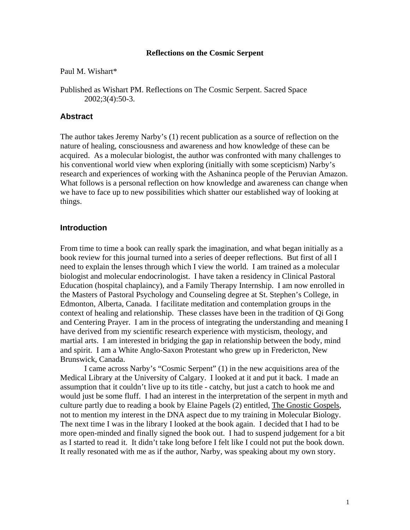#### **Reflections on the Cosmic Serpent**

#### Paul M. Wishart\*

Published as Wishart PM. Reflections on The Cosmic Serpent. Sacred Space 2002;3(4):50-3.

## **Abstract**

The author takes Jeremy Narby's (1) recent publication as a source of reflection on the nature of healing, consciousness and awareness and how knowledge of these can be acquired. As a molecular biologist, the author was confronted with many challenges to his conventional world view when exploring (initially with some scepticism) Narby's research and experiences of working with the Ashaninca people of the Peruvian Amazon. What follows is a personal reflection on how knowledge and awareness can change when we have to face up to new possibilities which shatter our established way of looking at things.

## **Introduction**

From time to time a book can really spark the imagination, and what began initially as a book review for this journal turned into a series of deeper reflections. But first of all I need to explain the lenses through which I view the world. I am trained as a molecular biologist and molecular endocrinologist. I have taken a residency in Clinical Pastoral Education (hospital chaplaincy), and a Family Therapy Internship. I am now enrolled in the Masters of Pastoral Psychology and Counseling degree at St. Stephen's College, in Edmonton, Alberta, Canada. I facilitate meditation and contemplation groups in the context of healing and relationship. These classes have been in the tradition of Qi Gong and Centering Prayer. I am in the process of integrating the understanding and meaning I have derived from my scientific research experience with mysticism, theology, and martial arts. I am interested in bridging the gap in relationship between the body, mind and spirit. I am a White Anglo-Saxon Protestant who grew up in Fredericton, New Brunswick, Canada.

I came across Narby's "Cosmic Serpent" (1) in the new acquisitions area of the Medical Library at the University of Calgary. I looked at it and put it back. I made an assumption that it couldn't live up to its title - catchy, but just a catch to hook me and would just be some fluff. I had an interest in the interpretation of the serpent in myth and culture partly due to reading a book by Elaine Pagels (2) entitled, The Gnostic Gospels, not to mention my interest in the DNA aspect due to my training in Molecular Biology. The next time I was in the library I looked at the book again. I decided that I had to be more open-minded and finally signed the book out. I had to suspend judgement for a bit as I started to read it. It didn't take long before I felt like I could not put the book down. It really resonated with me as if the author, Narby, was speaking about my own story.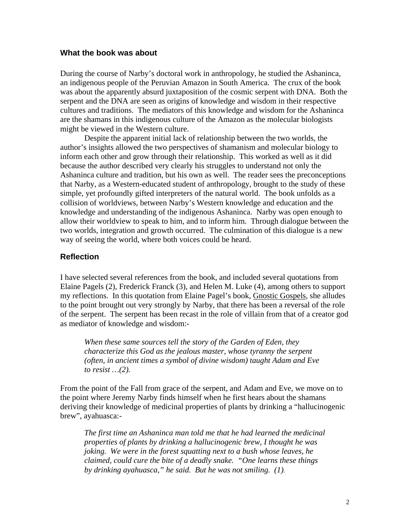## **What the book was about**

During the course of Narby's doctoral work in anthropology, he studied the Ashaninca, an indigenous people of the Peruvian Amazon in South America. The crux of the book was about the apparently absurd juxtaposition of the cosmic serpent with DNA. Both the serpent and the DNA are seen as origins of knowledge and wisdom in their respective cultures and traditions. The mediators of this knowledge and wisdom for the Ashaninca are the shamans in this indigenous culture of the Amazon as the molecular biologists might be viewed in the Western culture.

Despite the apparent initial lack of relationship between the two worlds, the author's insights allowed the two perspectives of shamanism and molecular biology to inform each other and grow through their relationship. This worked as well as it did because the author described very clearly his struggles to understand not only the Ashaninca culture and tradition, but his own as well. The reader sees the preconceptions that Narby, as a Western-educated student of anthropology, brought to the study of these simple, yet profoundly gifted interpreters of the natural world. The book unfolds as a collision of worldviews, between Narby's Western knowledge and education and the knowledge and understanding of the indigenous Ashaninca. Narby was open enough to allow their worldview to speak to him, and to inform him. Through dialogue between the two worlds, integration and growth occurred. The culmination of this dialogue is a new way of seeing the world, where both voices could be heard.

## **Reflection**

I have selected several references from the book, and included several quotations from Elaine Pagels (2), Frederick Franck (3), and Helen M. Luke (4), among others to support my reflections. In this quotation from Elaine Pagel's book, Gnostic Gospels, she alludes to the point brought out very strongly by Narby, that there has been a reversal of the role of the serpent. The serpent has been recast in the role of villain from that of a creator god as mediator of knowledge and wisdom:-

*When these same sources tell the story of the Garden of Eden, they characterize this God as the jealous master, whose tyranny the serpent (often, in ancient times a symbol of divine wisdom) taught Adam and Eve to resist …(2).* 

From the point of the Fall from grace of the serpent, and Adam and Eve, we move on to the point where Jeremy Narby finds himself when he first hears about the shamans deriving their knowledge of medicinal properties of plants by drinking a "hallucinogenic brew", ayahuasca:-

*The first time an Ashaninca man told me that he had learned the medicinal properties of plants by drinking a hallucinogenic brew, I thought he was joking. We were in the forest squatting next to a bush whose leaves, he claimed, could cure the bite of a deadly snake. "One learns these things by drinking ayahuasca," he said. But he was not smiling. (1).*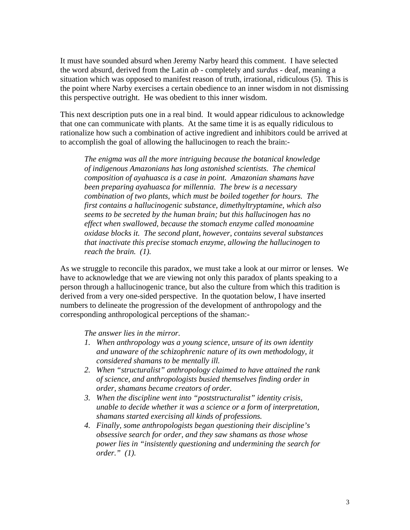It must have sounded absurd when Jeremy Narby heard this comment. I have selected the word absurd, derived from the Latin *ab -* completely and *surdus* - deaf, meaning a situation which was opposed to manifest reason of truth, irrational, ridiculous (5). This is the point where Narby exercises a certain obedience to an inner wisdom in not dismissing this perspective outright. He was obedient to this inner wisdom.

This next description puts one in a real bind. It would appear ridiculous to acknowledge that one can communicate with plants. At the same time it is as equally ridiculous to rationalize how such a combination of active ingredient and inhibitors could be arrived at to accomplish the goal of allowing the hallucinogen to reach the brain:-

*The enigma was all the more intriguing because the botanical knowledge of indigenous Amazonians has long astonished scientists. The chemical composition of ayahuasca is a case in point. Amazonian shamans have been preparing ayahuasca for millennia. The brew is a necessary combination of two plants, which must be boiled together for hours. The first contains a hallucinogenic substance, dimethyltryptamine, which also seems to be secreted by the human brain; but this hallucinogen has no effect when swallowed, because the stomach enzyme called monoamine oxidase blocks it. The second plant, however, contains several substances that inactivate this precise stomach enzyme, allowing the hallucinogen to reach the brain. (1).*

As we struggle to reconcile this paradox, we must take a look at our mirror or lenses. We have to acknowledge that we are viewing not only this paradox of plants speaking to a person through a hallucinogenic trance, but also the culture from which this tradition is derived from a very one-sided perspective. In the quotation below, I have inserted numbers to delineate the progression of the development of anthropology and the corresponding anthropological perceptions of the shaman:-

#### *The answer lies in the mirror.*

- *1. When anthropology was a young science, unsure of its own identity and unaware of the schizophrenic nature of its own methodology, it considered shamans to be mentally ill.*
- *2. When "structuralist" anthropology claimed to have attained the rank of science, and anthropologists busied themselves finding order in order, shamans became creators of order.*
- *3. When the discipline went into "poststructuralist" identity crisis, unable to decide whether it was a science or a form of interpretation, shamans started exercising all kinds of professions.*
- *4. Finally, some anthropologists began questioning their discipline's obsessive search for order, and they saw shamans as those whose power lies in "insistently questioning and undermining the search for order." (1).*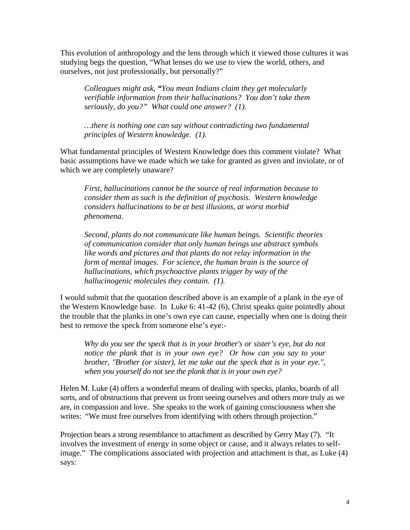This evolution of anthropology and the lens through which it viewed those cultures it was studying begs the question, "What lenses do we use to view the world, others, and ourselves, not just professionally, but personally?"

*Colleagues might ask, "You mean Indians claim they get molecularly verifiable information from their hallucinations? You don't take them seriously, do you?" What could one answer? (1).* 

*…there is nothing one can say without contradicting two fundamental principles of Western knowledge. (1).* 

What fundamental principles of Western Knowledge does this comment violate? What basic assumptions have we made which we take for granted as given and inviolate, or of which we are completely unaware?

*First, hallucinations cannot be the source of real information because to consider them as such is the definition of psychosis. Western knowledge considers hallucinations to be at best illusions, at worst morbid phenomena.* 

*Second, plants do not communicate like human beings. Scientific theories of communication consider that only human beings use abstract symbols like words and pictures and that plants do not relay information in the form of mental images. For science, the human brain is the source of hallucinations, which psychoactive plants trigger by way of the hallucinogenic molecules they contain. (1).*

I would submit that the quotation described above is an example of a plank in the eye of the Western Knowledge base. In Luke 6: 41-42 (6), Christ speaks quite pointedly about the trouble that the planks in one's own eye can cause, especially when one is doing their best to remove the speck from someone else's eye:-

*Why do you see the speck that is in your brother's or sister's eye, but do not notice the plank that is in your own eye? Or how can you say to your brother, "Brother (or sister), let me take out the speck that is in your eye.", when you yourself do not see the plank that is in your own eye?* 

Helen M. Luke (4) offers a wonderful means of dealing with specks, planks, boards of all sorts, and of obstructions that prevent us from seeing ourselves and others more truly as we are, in compassion and love. She speaks to the work of gaining consciousness when she writes: "We must free ourselves from identifying with others through projection."

Projection bears a strong resemblance to attachment as described by Gerry May (7). "It involves the investment of energy in some object or cause, and it always relates to selfimage." The complications associated with projection and attachment is that, as Luke (4) says: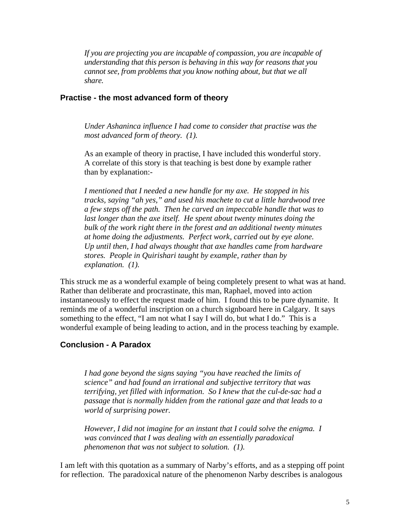*If you are projecting you are incapable of compassion, you are incapable of understanding that this person is behaving in this way for reasons that you cannot see, from problems that you know nothing about, but that we all share.* 

## **Practise - the most advanced form of theory**

*Under Ashaninca influence I had come to consider that practise was the most advanced form of theory. (1).*

As an example of theory in practise, I have included this wonderful story. A correlate of this story is that teaching is best done by example rather than by explanation:-

*I mentioned that I needed a new handle for my axe. He stopped in his tracks, saying "ah yes," and used his machete to cut a little hardwood tree a few steps off the path. Then he carved an impeccable handle that was to*  last longer than the axe itself. He spent about twenty minutes doing the *bulk of the work right there in the forest and an additional twenty minutes at home doing the adjustments. Perfect work, carried out by eye alone. Up until then, I had always thought that axe handles came from hardware stores. People in Quirishari taught by example, rather than by explanation. (1).*

This struck me as a wonderful example of being completely present to what was at hand. Rather than deliberate and procrastinate, this man, Raphael, moved into action instantaneously to effect the request made of him. I found this to be pure dynamite. It reminds me of a wonderful inscription on a church signboard here in Calgary. It says something to the effect, "I am not what I say I will do, but what I do." This is a wonderful example of being leading to action, and in the process teaching by example.

## **Conclusion - A Paradox**

*I had gone beyond the signs saying "you have reached the limits of science" and had found an irrational and subjective territory that was terrifying, yet filled with information. So I knew that the cul-de-sac had a passage that is normally hidden from the rational gaze and that leads to a world of surprising power.* 

*However, I did not imagine for an instant that I could solve the enigma. I was convinced that I was dealing with an essentially paradoxical phenomenon that was not subject to solution. (1).*

I am left with this quotation as a summary of Narby's efforts, and as a stepping off point for reflection. The paradoxical nature of the phenomenon Narby describes is analogous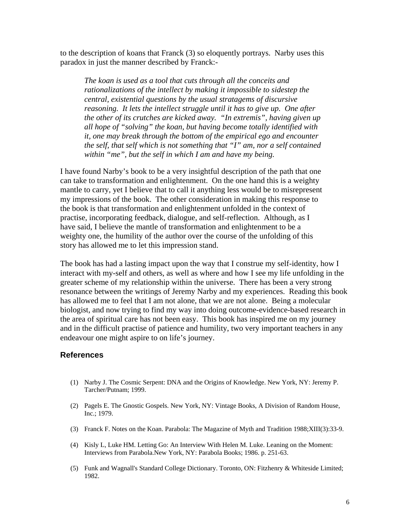to the description of koans that Franck (3) so eloquently portrays. Narby uses this paradox in just the manner described by Franck:-

*The koan is used as a tool that cuts through all the conceits and rationalizations of the intellect by making it impossible to sidestep the central, existential questions by the usual stratagems of discursive reasoning. It lets the intellect struggle until it has to give up. One after the other of its crutches are kicked away. "In extremis", having given up all hope of "solving" the koan, but having become totally identified with it, one may break through the bottom of the empirical ego and encounter the self, that self which is not something that "I" am, nor a self contained within "me", but the self in which I am and have my being.* 

I have found Narby's book to be a very insightful description of the path that one can take to transformation and enlightenment. On the one hand this is a weighty mantle to carry, yet I believe that to call it anything less would be to misrepresent my impressions of the book. The other consideration in making this response to the book is that transformation and enlightenment unfolded in the context of practise, incorporating feedback, dialogue, and self-reflection. Although, as I have said, I believe the mantle of transformation and enlightenment to be a weighty one, the humility of the author over the course of the unfolding of this story has allowed me to let this impression stand.

The book has had a lasting impact upon the way that I construe my self-identity, how I interact with my-self and others, as well as where and how I see my life unfolding in the greater scheme of my relationship within the universe. There has been a very strong resonance between the writings of Jeremy Narby and my experiences. Reading this book has allowed me to feel that I am not alone, that we are not alone. Being a molecular biologist, and now trying to find my way into doing outcome-evidence-based research in the area of spiritual care has not been easy. This book has inspired me on my journey and in the difficult practise of patience and humility, two very important teachers in any endeavour one might aspire to on life's journey.

#### **References**

- (1) Narby J. The Cosmic Serpent: DNA and the Origins of Knowledge. New York, NY: Jeremy P. Tarcher/Putnam; 1999.
- (2) Pagels E. The Gnostic Gospels. New York, NY: Vintage Books, A Division of Random House, Inc.; 1979.
- (3) Franck F. Notes on the Koan. Parabola: The Magazine of Myth and Tradition 1988;XIII(3):33-9.
- (4) Kisly L, Luke HM. Letting Go: An Interview With Helen M. Luke. Leaning on the Moment: Interviews from Parabola.New York, NY: Parabola Books; 1986. p. 251-63.
- (5) Funk and Wagnall's Standard College Dictionary. Toronto, ON: Fitzhenry & Whiteside Limited; 1982.